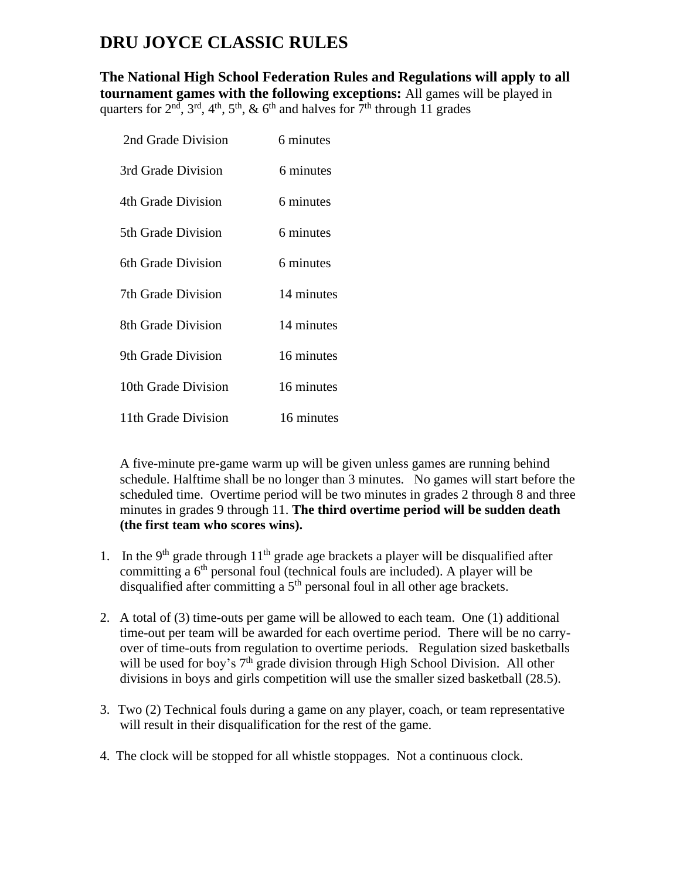## **DRU JOYCE CLASSIC RULES**

**The National High School Federation Rules and Regulations will apply to all tournament games with the following exceptions:** All games will be played in quarters for  $2<sup>nd</sup>$ ,  $3<sup>rd</sup>$ ,  $4<sup>th</sup>$ ,  $5<sup>th</sup>$ ,  $\&$  6<sup>th</sup> and halves for  $7<sup>th</sup>$  through 11 grades

| 2nd Grade Division  | 6 minutes  |
|---------------------|------------|
| 3rd Grade Division  | 6 minutes  |
| 4th Grade Division  | 6 minutes  |
| 5th Grade Division  | 6 minutes  |
| 6th Grade Division  | 6 minutes  |
| 7th Grade Division  | 14 minutes |
| 8th Grade Division  | 14 minutes |
| 9th Grade Division  | 16 minutes |
| 10th Grade Division | 16 minutes |
| 11th Grade Division | 16 minutes |

A five-minute pre-game warm up will be given unless games are running behind schedule. Halftime shall be no longer than 3 minutes. No games will start before the scheduled time. Overtime period will be two minutes in grades 2 through 8 and three minutes in grades 9 through 11. **The third overtime period will be sudden death (the first team who scores wins).**

- 1. In the 9<sup>th</sup> grade through  $11<sup>th</sup>$  grade age brackets a player will be disqualified after committing a  $6<sup>th</sup>$  personal foul (technical fouls are included). A player will be disqualified after committing a 5<sup>th</sup> personal foul in all other age brackets.
- 2. A total of (3) time-outs per game will be allowed to each team. One (1) additional time-out per team will be awarded for each overtime period. There will be no carryover of time-outs from regulation to overtime periods. Regulation sized basketballs will be used for boy's 7<sup>th</sup> grade division through High School Division. All other divisions in boys and girls competition will use the smaller sized basketball (28.5).
- 3. Two (2) Technical fouls during a game on any player, coach, or team representative will result in their disqualification for the rest of the game.
- 4. The clock will be stopped for all whistle stoppages. Not a continuous clock.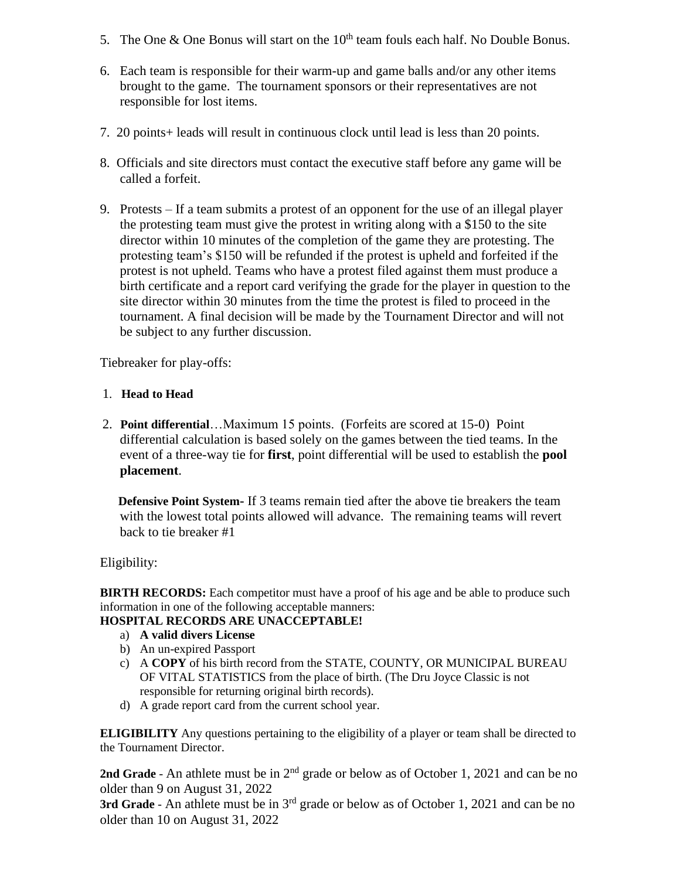- 5. The One  $\&$  One Bonus will start on the  $10^{th}$  team fouls each half. No Double Bonus.
- 6. Each team is responsible for their warm-up and game balls and/or any other items brought to the game. The tournament sponsors or their representatives are not responsible for lost items.
- 7. 20 points+ leads will result in continuous clock until lead is less than 20 points.
- 8. Officials and site directors must contact the executive staff before any game will be called a forfeit.
- 9. Protests If a team submits a protest of an opponent for the use of an illegal player the protesting team must give the protest in writing along with a \$150 to the site director within 10 minutes of the completion of the game they are protesting. The protesting team's \$150 will be refunded if the protest is upheld and forfeited if the protest is not upheld. Teams who have a protest filed against them must produce a birth certificate and a report card verifying the grade for the player in question to the site director within 30 minutes from the time the protest is filed to proceed in the tournament. A final decision will be made by the Tournament Director and will not be subject to any further discussion.

Tiebreaker for play-offs:

- 1. **Head to Head**
- 2. **Point differential**…Maximum 15 points. (Forfeits are scored at 15-0) Point differential calculation is based solely on the games between the tied teams. In the event of a three-way tie for **first**, point differential will be used to establish the **pool placement**.

 **Defensive Point System-** If 3 teams remain tied after the above tie breakers the team with the lowest total points allowed will advance. The remaining teams will revert back to tie breaker #1

Eligibility:

**BIRTH RECORDS:** Each competitor must have a proof of his age and be able to produce such information in one of the following acceptable manners:

## **HOSPITAL RECORDS ARE UNACCEPTABLE!**

- a) **A valid divers License**
- b) An un-expired Passport
- c) A **COPY** of his birth record from the STATE, COUNTY, OR MUNICIPAL BUREAU OF VITAL STATISTICS from the place of birth. (The Dru Joyce Classic is not responsible for returning original birth records).
- d) A grade report card from the current school year.

**ELIGIBILITY** Any questions pertaining to the eligibility of a player or team shall be directed to the Tournament Director.

**2nd Grade** - An athlete must be in 2nd grade or below as of October 1, 2021 and can be no older than 9 on August 31, 2022

**3rd Grade** - An athlete must be in 3<sup>rd</sup> grade or below as of October 1, 2021 and can be no older than 10 on August 31, 2022